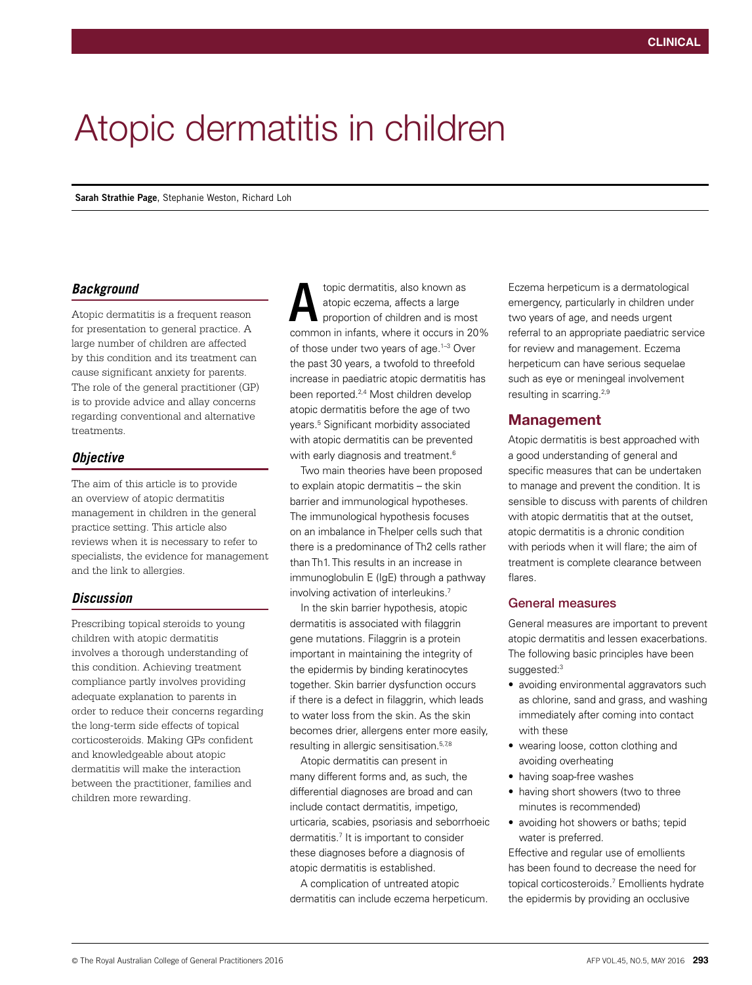# Atopic dermatitis in children

**Sarah Strathie Page**, Stephanie Weston, Richard Loh

## *Background*

Atopic dermatitis is a frequent reason for presentation to general practice. A large number of children are affected by this condition and its treatment can cause significant anxiety for parents. The role of the general practitioner (GP) is to provide advice and allay concerns regarding conventional and alternative treatments.

## *Objective*

The aim of this article is to provide an overview of atopic dermatitis management in children in the general practice setting. This article also reviews when it is necessary to refer to specialists, the evidence for management and the link to allergies.

# *Discussion*

Prescribing topical steroids to young children with atopic dermatitis involves a thorough understanding of this condition. Achieving treatment compliance partly involves providing adequate explanation to parents in order to reduce their concerns regarding the long-term side effects of topical corticosteroids. Making GPs confident and knowledgeable about atopic dermatitis will make the interaction between the practitioner, families and children more rewarding.

topic dermatitis, also known as atopic eczema, affects a large proportion of children and is most common in infants, where it occurs in 20% of those under two years of age.1–3 Over the past 30 years, a twofold to threefold increase in paediatric atopic dermatitis has been reported.2,4 Most children develop atopic dermatitis before the age of two years.5 Significant morbidity associated with atopic dermatitis can be prevented with early diagnosis and treatment.<sup>6</sup> A

Two main theories have been proposed to explain atopic dermatitis – the skin barrier and immunological hypotheses. The immunological hypothesis focuses on an imbalance in T-helper cells such that there is a predominance of Th2 cells rather than Th1. This results in an increase in immunoglobulin E (IgE) through a pathway involving activation of interleukins.7

In the skin barrier hypothesis, atopic dermatitis is associated with filaggrin gene mutations. Filaggrin is a protein important in maintaining the integrity of the epidermis by binding keratinocytes together. Skin barrier dysfunction occurs if there is a defect in filaggrin, which leads to water loss from the skin. As the skin becomes drier, allergens enter more easily, resulting in allergic sensitisation.<sup>5,7,8</sup>

Atopic dermatitis can present in many different forms and, as such, the differential diagnoses are broad and can include contact dermatitis, impetigo, urticaria, scabies, psoriasis and seborrhoeic dermatitis.7 It is important to consider these diagnoses before a diagnosis of atopic dermatitis is established.

A complication of untreated atopic dermatitis can include eczema herpeticum. Eczema herpeticum is a dermatological emergency, particularly in children under two years of age, and needs urgent referral to an appropriate paediatric service for review and management. Eczema herpeticum can have serious sequelae such as eye or meningeal involvement resulting in scarring.2,9

# Management

Atopic dermatitis is best approached with a good understanding of general and specific measures that can be undertaken to manage and prevent the condition. It is sensible to discuss with parents of children with atopic dermatitis that at the outset, atopic dermatitis is a chronic condition with periods when it will flare; the aim of treatment is complete clearance between flares.

## General measures

General measures are important to prevent atopic dermatitis and lessen exacerbations. The following basic principles have been suggested:3

- avoiding environmental aggravators such as chlorine, sand and grass, and washing immediately after coming into contact with these
- wearing loose, cotton clothing and avoiding overheating
- having soap-free washes
- having short showers (two to three minutes is recommended)
- avoiding hot showers or baths; tepid water is preferred.

Effective and regular use of emollients has been found to decrease the need for topical corticosteroids.7 Emollients hydrate the epidermis by providing an occlusive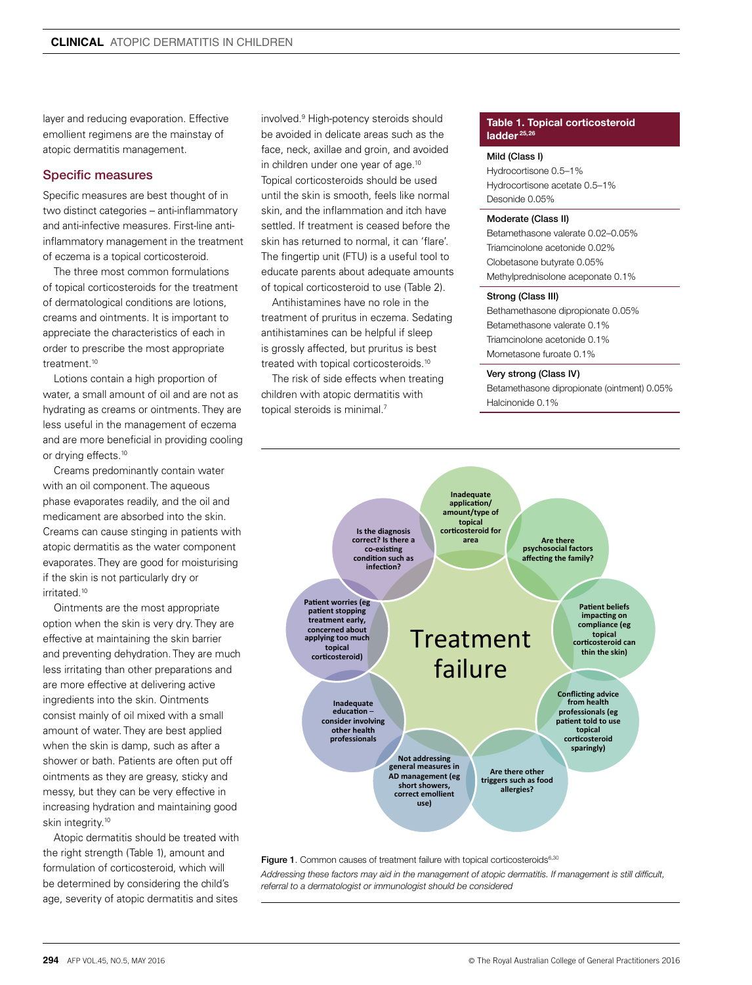layer and reducing evaporation. Effective emollient regimens are the mainstay of atopic dermatitis management.

## Specific measures

Specific measures are best thought of in two distinct categories – anti-inflammatory and anti-infective measures. First-line antiinflammatory management in the treatment of eczema is a topical corticosteroid.

The three most common formulations of topical corticosteroids for the treatment of dermatological conditions are lotions, creams and ointments. It is important to appreciate the characteristics of each in order to prescribe the most appropriate treatment.<sup>10</sup>

Lotions contain a high proportion of water, a small amount of oil and are not as hydrating as creams or ointments. They are less useful in the management of eczema and are more beneficial in providing cooling or drying effects.<sup>10</sup>

Creams predominantly contain water with an oil component. The aqueous phase evaporates readily, and the oil and medicament are absorbed into the skin. Creams can cause stinging in patients with atopic dermatitis as the water component evaporates. They are good for moisturising if the skin is not particularly dry or irritated.10

Ointments are the most appropriate option when the skin is very dry. They are effective at maintaining the skin barrier and preventing dehydration. They are much less irritating than other preparations and are more effective at delivering active ingredients into the skin. Ointments consist mainly of oil mixed with a small amount of water. They are best applied when the skin is damp, such as after a shower or bath. Patients are often put off ointments as they are greasy, sticky and messy, but they can be very effective in increasing hydration and maintaining good skin integrity.<sup>10</sup>

Atopic dermatitis should be treated with the right strength (Table 1), amount and formulation of corticosteroid, which will be determined by considering the child's age, severity of atopic dermatitis and sites

involved.9 High-potency steroids should be avoided in delicate areas such as the face, neck, axillae and groin, and avoided in children under one year of age.<sup>10</sup> Topical corticosteroids should be used until the skin is smooth, feels like normal skin, and the inflammation and itch have settled. If treatment is ceased before the skin has returned to normal, it can 'flare'. The fingertip unit (FTU) is a useful tool to educate parents about adequate amounts of topical corticosteroid to use (Table 2).

Antihistamines have no role in the treatment of pruritus in eczema. Sedating antihistamines can be helpful if sleep is grossly affected, but pruritus is best treated with topical corticosteroids.<sup>10</sup>

The risk of side effects when treating children with atopic dermatitis with topical steroids is minimal.7

### Table 1. Topical corticosteroid ladder<sup>25,26</sup>

#### Mild (Class I)

Hydrocortisone 0.5–1% Hydrocortisone acetate 0.5–1% Desonide 0.05%

#### Moderate (Class II)

Betamethasone valerate 0.02–0.05% Triamcinolone acetonide 0.02% Clobetasone butyrate 0.05% Methylprednisolone aceponate 0.1%

#### Strong (Class III)

Bethamethasone dipropionate 0.05% Betamethasone valerate 0.1% Triamcinolone acetonide 0.1% Mometasone furoate 0.1%

#### Very strong (Class IV)

Betamethasone dipropionate (ointment) 0.05% Halcinonide 0.1%



Figure 1. Common causes of treatment failure with topical corticosteroids<sup>6,30</sup>

*Addressing these factors may aid in the management of atopic dermatitis. If management is still difficult, referral to a dermatologist or immunologist should be considered*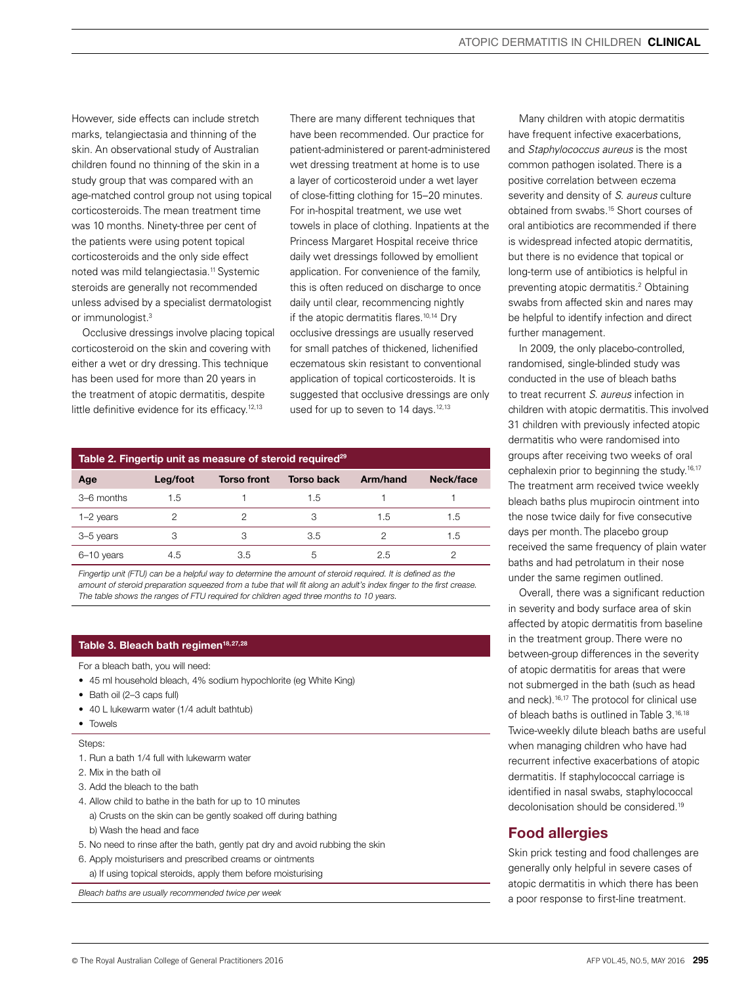However, side effects can include stretch marks, telangiectasia and thinning of the skin. An observational study of Australian children found no thinning of the skin in a study group that was compared with an age-matched control group not using topical corticosteroids. The mean treatment time was 10 months. Ninety-three per cent of the patients were using potent topical corticosteroids and the only side effect noted was mild telangiectasia.<sup>11</sup> Systemic steroids are generally not recommended unless advised by a specialist dermatologist or immunologist.<sup>3</sup>

Occlusive dressings involve placing topical corticosteroid on the skin and covering with either a wet or dry dressing. This technique has been used for more than 20 years in the treatment of atopic dermatitis, despite little definitive evidence for its efficacy.<sup>12,13</sup>

There are many different techniques that have been recommended. Our practice for patient-administered or parent-administered wet dressing treatment at home is to use a layer of corticosteroid under a wet layer of close-fitting clothing for 15–20 minutes. For in-hospital treatment, we use wet towels in place of clothing. Inpatients at the Princess Margaret Hospital receive thrice daily wet dressings followed by emollient application. For convenience of the family, this is often reduced on discharge to once daily until clear, recommencing nightly if the atopic dermatitis flares.<sup>10,14</sup> Dry occlusive dressings are usually reserved for small patches of thickened, lichenified eczematous skin resistant to conventional application of topical corticosteroids. It is suggested that occlusive dressings are only used for up to seven to 14 days.<sup>12,13</sup>

# Table 2. Fingertip unit as measure of steroid required<sup>29</sup>

| Age         | Leg/foot | <b>Torso front</b> | <b>Torso back</b> | Arm/hand | Neck/face |
|-------------|----------|--------------------|-------------------|----------|-----------|
| 3–6 months  | 1.5      |                    | 1.5               |          |           |
| $1-2$ years | っ        |                    |                   | 1.5      | 1.5       |
| 3-5 years   | 3        | 3                  | 3.5               |          | 1.5       |
| 6-10 years  | 4.5      | 3.5                | b                 | 2.5      |           |

*Fingertip unit (FTU) can be a helpful way to determine the amount of steroid required. It is defined as the amount of steroid preparation squeezed from a tube that will fit along an adult's index finger to the first crease. The table shows the ranges of FTU required for children aged three months to 10 years.*

# Table 3. Bleach bath regimen<sup>18,27,28</sup>

For a bleach bath, you will need:

- 45 ml household bleach, 4% sodium hypochlorite (eg White King)
- Bath oil (2–3 caps full)
- 40 L lukewarm water (1/4 adult bathtub)
- Towels

#### Steps:

- 1. Run a bath 1/4 full with lukewarm water
- 2. Mix in the bath oil
- 3. Add the bleach to the bath
- 4. Allow child to bathe in the bath for up to 10 minutes a) Crusts on the skin can be gently soaked off during bathing b) Wash the head and face
- 5. No need to rinse after the bath, gently pat dry and avoid rubbing the skin
- 6. Apply moisturisers and prescribed creams or ointments a) If using topical steroids, apply them before moisturising

*Bleach baths are usually recommended twice per week*

Many children with atopic dermatitis have frequent infective exacerbations, and *Staphylococcus aureus* is the most common pathogen isolated. There is a positive correlation between eczema severity and density of *S. aureus* culture obtained from swabs.15 Short courses of oral antibiotics are recommended if there is widespread infected atopic dermatitis, but there is no evidence that topical or long-term use of antibiotics is helpful in preventing atopic dermatitis.2 Obtaining swabs from affected skin and nares may be helpful to identify infection and direct further management.

In 2009, the only placebo-controlled, randomised, single-blinded study was conducted in the use of bleach baths to treat recurrent *S. aureus* infection in children with atopic dermatitis. This involved 31 children with previously infected atopic dermatitis who were randomised into groups after receiving two weeks of oral cephalexin prior to beginning the study.16,17 The treatment arm received twice weekly bleach baths plus mupirocin ointment into the nose twice daily for five consecutive days per month. The placebo group received the same frequency of plain water baths and had petrolatum in their nose under the same regimen outlined.

Overall, there was a significant reduction in severity and body surface area of skin affected by atopic dermatitis from baseline in the treatment group. There were no between-group differences in the severity of atopic dermatitis for areas that were not submerged in the bath (such as head and neck).16,17 The protocol for clinical use of bleach baths is outlined in Table 3.<sup>16,18</sup> Twice-weekly dilute bleach baths are useful when managing children who have had recurrent infective exacerbations of atopic dermatitis. If staphylococcal carriage is identified in nasal swabs, staphylococcal decolonisation should be considered.19

# Food allergies

Skin prick testing and food challenges are generally only helpful in severe cases of atopic dermatitis in which there has been a poor response to first-line treatment.